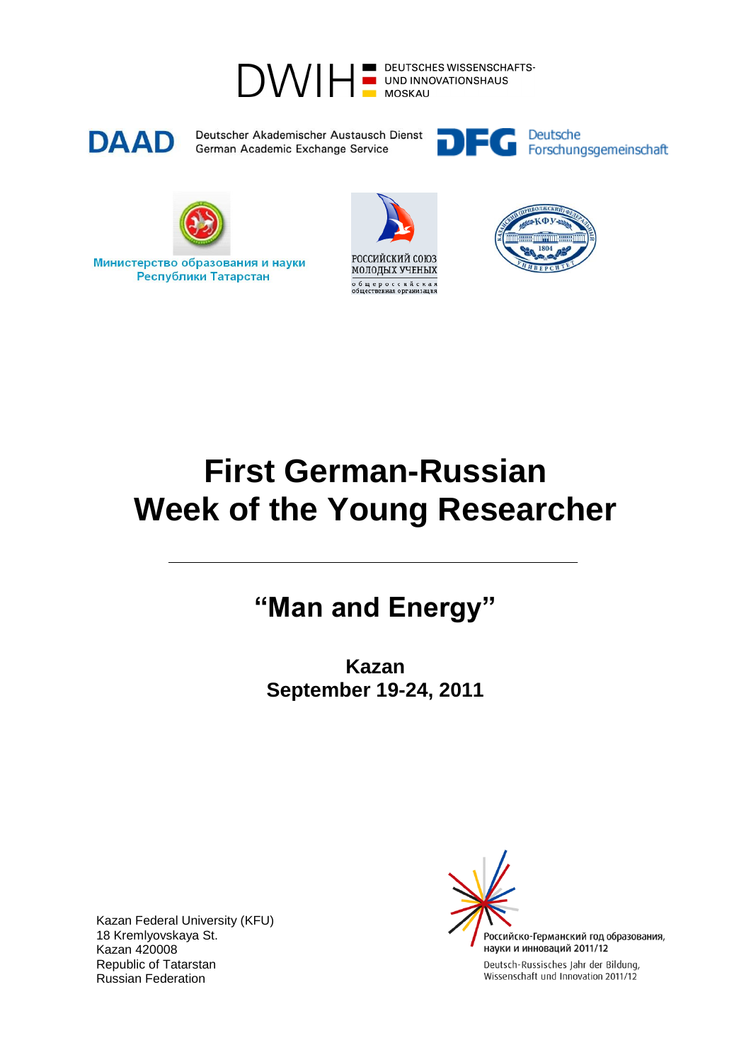



Deutscher Akademischer Austausch Dienst German Academic Exchange Service





Министерство образования и науки Республики Татарстан





## **First German-Russian Week of the Young Researcher**

## **"Man and Energy"**

**Kazan September 19-24, 2011**

Kazan Federal University (KFU) 18 Kremlyovskaya St. Kazan 420008 Republic of Tatarstan Russian Federation

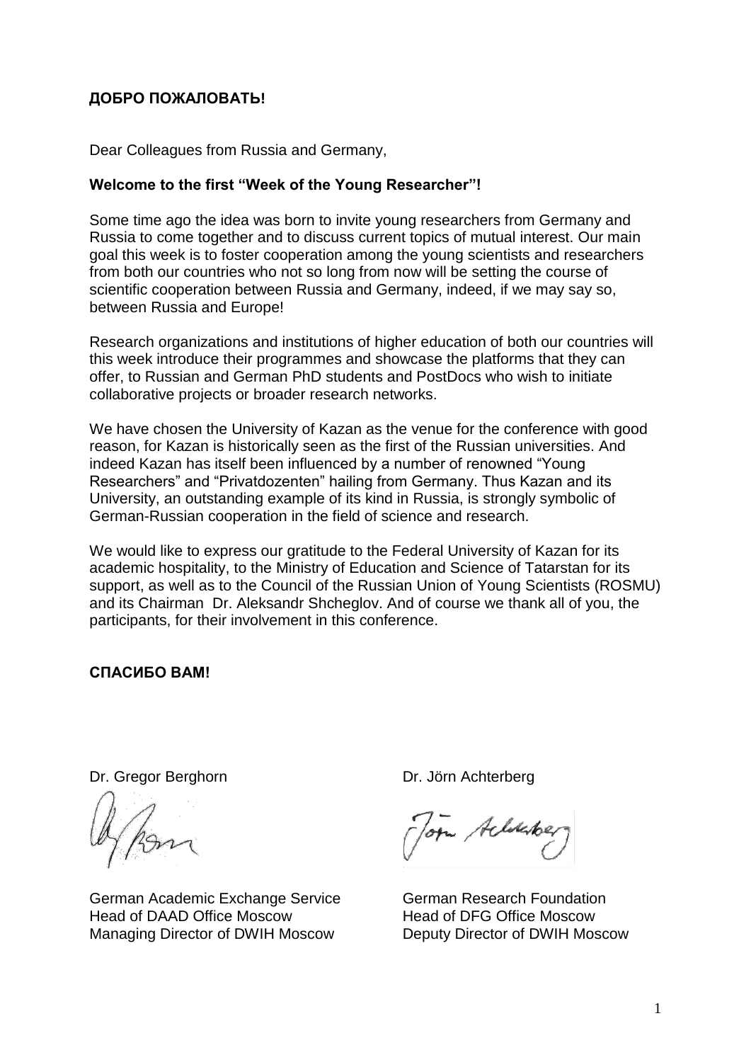## **ДОБРО ПОЖАЛОВАТЬ!**

Dear Colleagues from Russia and Germany,

## **Welcome to the first "Week of the Young Researcher"!**

Some time ago the idea was born to invite young researchers from Germany and Russia to come together and to discuss current topics of mutual interest. Our main goal this week is to foster cooperation among the young scientists and researchers from both our countries who not so long from now will be setting the course of scientific cooperation between Russia and Germany, indeed, if we may say so, between Russia and Europe!

Research organizations and institutions of higher education of both our countries will this week introduce their programmes and showcase the platforms that they can offer, to Russian and German PhD students and PostDocs who wish to initiate collaborative projects or broader research networks.

We have chosen the University of Kazan as the venue for the conference with good reason, for Kazan is historically seen as the first of the Russian universities. And indeed Kazan has itself been influenced by a number of renowned "Young Researchers" and "Privatdozenten" hailing from Germany. Thus Kazan and its University, an outstanding example of its kind in Russia, is strongly symbolic of German-Russian cooperation in the field of science and research.

We would like to express our gratitude to the Federal University of Kazan for its academic hospitality, to the Ministry of Education and Science of Tatarstan for its support, as well as to the Council of the Russian Union of Young Scientists (ROSMU) and its Chairman Dr. Aleksandr Shcheglov. And of course we thank all of you, the participants, for their involvement in this conference.

**СПАСИБО ВАМ!**

Dr. Gregor Berghorn

German Academic Exchange Service Head of DAAD Office Moscow Managing Director of DWIH Moscow

Dr. Jörn Achterberg

Torn Aclockber

German Research Foundation Head of DFG Office Moscow Deputy Director of DWIH Moscow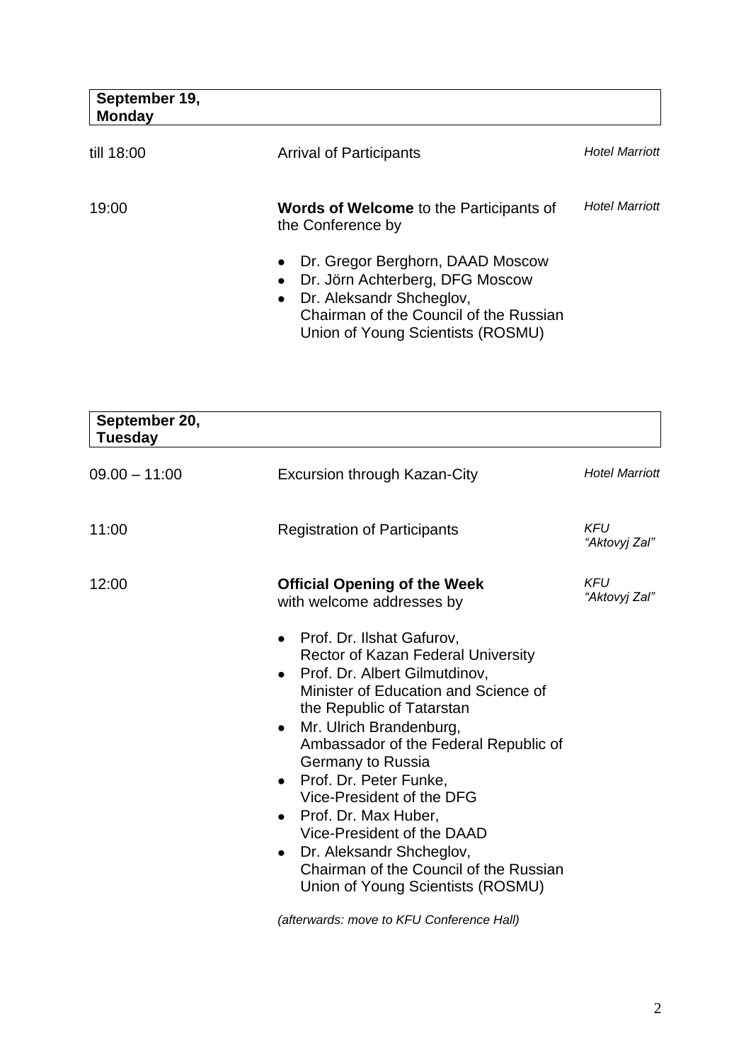| September 19,<br><b>Monday</b> |                                                                                                                                                                                                                       |                       |
|--------------------------------|-----------------------------------------------------------------------------------------------------------------------------------------------------------------------------------------------------------------------|-----------------------|
| till 18:00                     | <b>Arrival of Participants</b>                                                                                                                                                                                        | <b>Hotel Marriott</b> |
| 19:00                          | <b>Words of Welcome</b> to the Participants of<br>the Conference by                                                                                                                                                   | <b>Hotel Marriott</b> |
|                                | Dr. Gregor Berghorn, DAAD Moscow<br>$\bullet$<br>Dr. Jörn Achterberg, DFG Moscow<br>$\bullet$<br>Dr. Aleksandr Shcheglov,<br>$\bullet$<br>Chairman of the Council of the Russian<br>Union of Young Scientists (ROSMU) |                       |

| September 20,<br><b>Tuesday</b> |                                                                                                                                                                                                                                                                                                                                                                                                                                                                                                                                                                             |                             |
|---------------------------------|-----------------------------------------------------------------------------------------------------------------------------------------------------------------------------------------------------------------------------------------------------------------------------------------------------------------------------------------------------------------------------------------------------------------------------------------------------------------------------------------------------------------------------------------------------------------------------|-----------------------------|
| $09.00 - 11:00$                 | <b>Excursion through Kazan-City</b>                                                                                                                                                                                                                                                                                                                                                                                                                                                                                                                                         | <b>Hotel Marriott</b>       |
| 11:00                           | <b>Registration of Participants</b>                                                                                                                                                                                                                                                                                                                                                                                                                                                                                                                                         | <b>KFU</b><br>"Aktovyj Zal" |
| 12:00                           | <b>Official Opening of the Week</b><br>with welcome addresses by                                                                                                                                                                                                                                                                                                                                                                                                                                                                                                            | <b>KFU</b><br>"Aktovyj Zal" |
|                                 | Prof. Dr. Ilshat Gafurov,<br>$\bullet$<br><b>Rector of Kazan Federal University</b><br>Prof. Dr. Albert Gilmutdinov,<br>$\bullet$<br>Minister of Education and Science of<br>the Republic of Tatarstan<br>Mr. Ulrich Brandenburg,<br>$\bullet$<br>Ambassador of the Federal Republic of<br>Germany to Russia<br>Prof. Dr. Peter Funke,<br>$\bullet$<br>Vice-President of the DFG<br>Prof. Dr. Max Huber,<br>$\bullet$<br>Vice-President of the DAAD<br>Dr. Aleksandr Shcheglov,<br>$\bullet$<br>Chairman of the Council of the Russian<br>Union of Young Scientists (ROSMU) |                             |

*(afterwards: move to KFU Conference Hall)*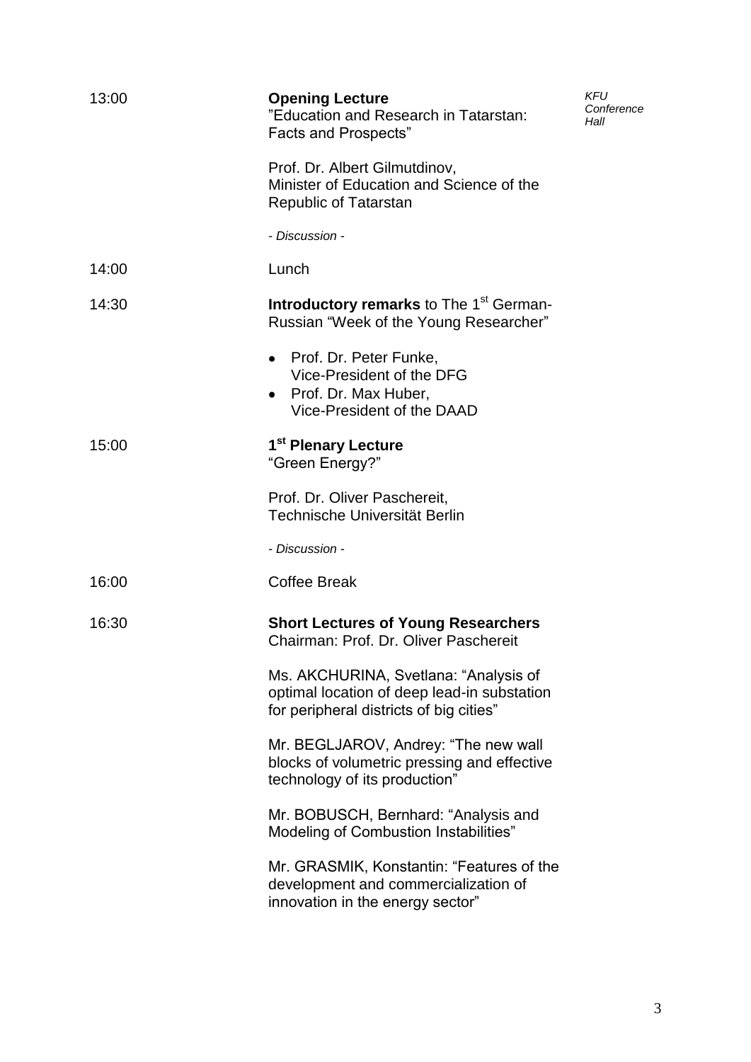| 13:00 | <b>Opening Lecture</b><br>"Education and Research in Tatarstan:<br><b>Facts and Prospects"</b>                                  | <b>KFU</b><br>Conference<br>Hall |
|-------|---------------------------------------------------------------------------------------------------------------------------------|----------------------------------|
|       | Prof. Dr. Albert Gilmutdinov,<br>Minister of Education and Science of the<br><b>Republic of Tatarstan</b>                       |                                  |
|       | - Discussion -                                                                                                                  |                                  |
| 14:00 | Lunch                                                                                                                           |                                  |
| 14:30 | <b>Introductory remarks to The 1st German-</b><br>Russian "Week of the Young Researcher"                                        |                                  |
|       | • Prof. Dr. Peter Funke,<br>Vice-President of the DFG<br>• Prof. Dr. Max Huber,<br>Vice-President of the DAAD                   |                                  |
| 15:00 | 1 <sup>st</sup> Plenary Lecture<br>"Green Energy?"                                                                              |                                  |
|       | Prof. Dr. Oliver Paschereit,<br>Technische Universität Berlin                                                                   |                                  |
|       | - Discussion -                                                                                                                  |                                  |
| 16:00 | <b>Coffee Break</b>                                                                                                             |                                  |
| 16:30 | <b>Short Lectures of Young Researchers</b><br>Chairman: Prof. Dr. Oliver Paschereit                                             |                                  |
|       | Ms. AKCHURINA, Svetlana: "Analysis of<br>optimal location of deep lead-in substation<br>for peripheral districts of big cities" |                                  |
|       | Mr. BEGLJAROV, Andrey: "The new wall<br>blocks of volumetric pressing and effective<br>technology of its production"            |                                  |
|       | Mr. BOBUSCH, Bernhard: "Analysis and<br>Modeling of Combustion Instabilities"                                                   |                                  |
|       | Mr. GRASMIK, Konstantin: "Features of the<br>development and commercialization of<br>innovation in the energy sector"           |                                  |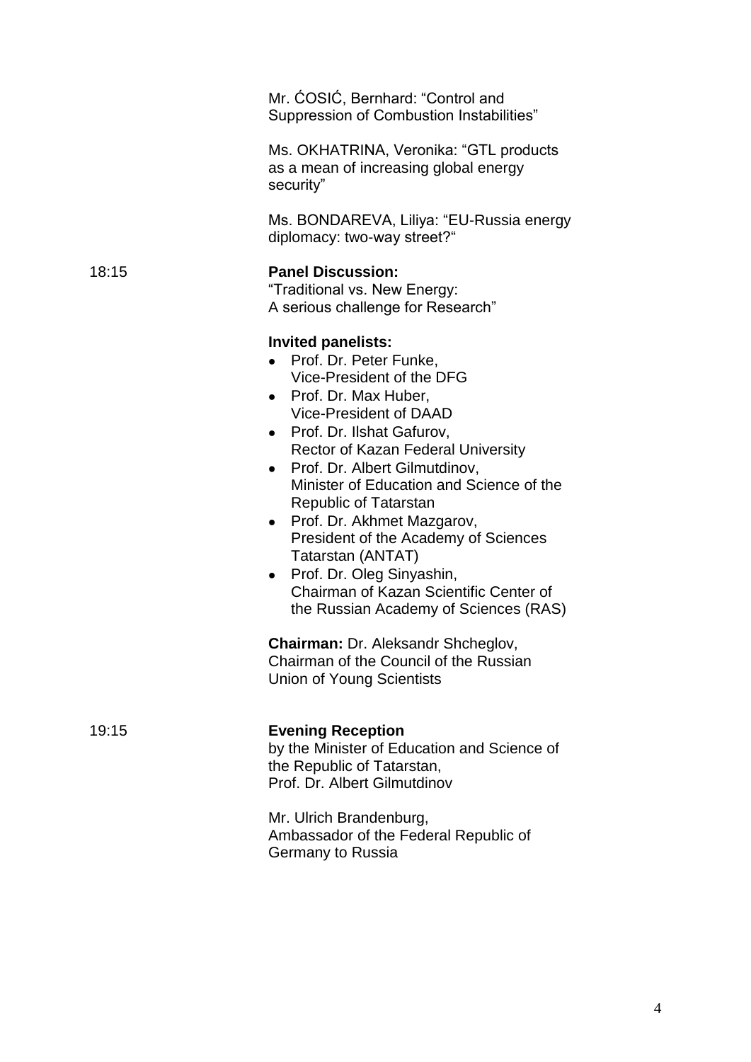|       | Mr. ĆOSIĆ, Bernhard: "Control and<br>Suppression of Combustion Instabilities"                                                                                                                                                                                                                                                                                                                                                                                                                                                                                                                                                                                   |
|-------|-----------------------------------------------------------------------------------------------------------------------------------------------------------------------------------------------------------------------------------------------------------------------------------------------------------------------------------------------------------------------------------------------------------------------------------------------------------------------------------------------------------------------------------------------------------------------------------------------------------------------------------------------------------------|
|       | Ms. OKHATRINA, Veronika: "GTL products<br>as a mean of increasing global energy<br>security"                                                                                                                                                                                                                                                                                                                                                                                                                                                                                                                                                                    |
|       | Ms. BONDAREVA, Liliya: "EU-Russia energy<br>diplomacy: two-way street?"                                                                                                                                                                                                                                                                                                                                                                                                                                                                                                                                                                                         |
| 18:15 | <b>Panel Discussion:</b><br>"Traditional vs. New Energy:<br>A serious challenge for Research"                                                                                                                                                                                                                                                                                                                                                                                                                                                                                                                                                                   |
|       | <b>Invited panelists:</b><br>Prof. Dr. Peter Funke,<br>Vice-President of the DFG<br>• Prof. Dr. Max Huber,<br>Vice-President of DAAD<br>• Prof. Dr. Ilshat Gafurov,<br>Rector of Kazan Federal University<br>Prof. Dr. Albert Gilmutdinov,<br>$\bullet$<br>Minister of Education and Science of the<br>Republic of Tatarstan<br>• Prof. Dr. Akhmet Mazgarov,<br>President of the Academy of Sciences<br>Tatarstan (ANTAT)<br>• Prof. Dr. Oleg Sinyashin,<br>Chairman of Kazan Scientific Center of<br>the Russian Academy of Sciences (RAS)<br>Chairman: Dr. Aleksandr Shcheglov,<br>Chairman of the Council of the Russian<br><b>Union of Young Scientists</b> |
| 19:15 | <b>Evening Reception</b><br>by the Minister of Education and Science of<br>the Republic of Tatarstan,<br>Prof. Dr. Albert Gilmutdinov                                                                                                                                                                                                                                                                                                                                                                                                                                                                                                                           |
|       | Mr. Ulrich Brandenburg,<br>Ambassador of the Federal Republic of<br>Germany to Russia                                                                                                                                                                                                                                                                                                                                                                                                                                                                                                                                                                           |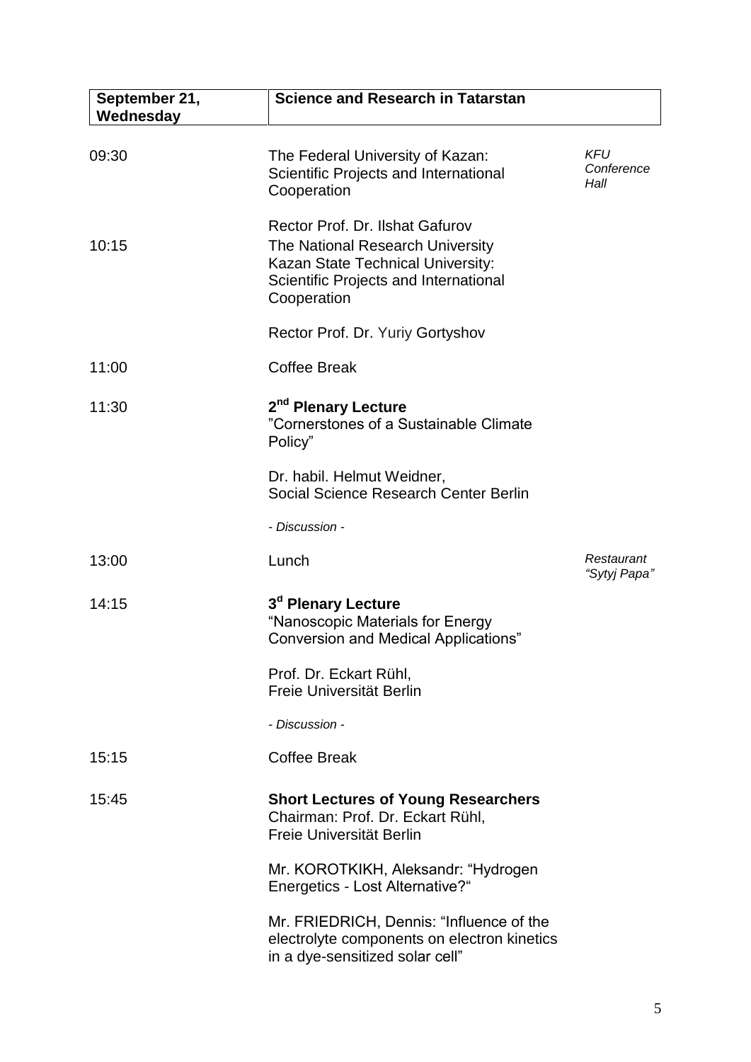| September 21,<br>Wednesday | <b>Science and Research in Tatarstan</b>                                                                                                                         |                                  |
|----------------------------|------------------------------------------------------------------------------------------------------------------------------------------------------------------|----------------------------------|
| 09:30                      | The Federal University of Kazan:<br>Scientific Projects and International<br>Cooperation                                                                         | <b>KFU</b><br>Conference<br>Hall |
| 10:15                      | Rector Prof. Dr. Ilshat Gafurov<br>The National Research University<br>Kazan State Technical University:<br>Scientific Projects and International<br>Cooperation |                                  |
|                            | Rector Prof. Dr. Yuriy Gortyshov                                                                                                                                 |                                  |
| 11:00                      | <b>Coffee Break</b>                                                                                                                                              |                                  |
| 11:30                      | 2 <sup>nd</sup> Plenary Lecture<br>"Cornerstones of a Sustainable Climate<br>Policy"                                                                             |                                  |
|                            | Dr. habil. Helmut Weidner,<br>Social Science Research Center Berlin                                                                                              |                                  |
|                            | - Discussion -                                                                                                                                                   |                                  |
| 13:00                      | Lunch                                                                                                                                                            | Restaurant<br>"Sytyj Papa"       |
| 14:15                      | 3 <sup>d</sup> Plenary Lecture<br>"Nanoscopic Materials for Energy<br><b>Conversion and Medical Applications"</b>                                                |                                  |
|                            | Prof. Dr. Eckart Rühl,<br>Freie Universität Berlin                                                                                                               |                                  |
|                            | - Discussion -                                                                                                                                                   |                                  |
| 15:15                      | <b>Coffee Break</b>                                                                                                                                              |                                  |
| 15:45                      | <b>Short Lectures of Young Researchers</b><br>Chairman: Prof. Dr. Eckart Rühl,<br>Freie Universität Berlin                                                       |                                  |
|                            | Mr. KOROTKIKH, Aleksandr: "Hydrogen<br>Energetics - Lost Alternative?"                                                                                           |                                  |
|                            | Mr. FRIEDRICH, Dennis: "Influence of the<br>electrolyte components on electron kinetics<br>in a dye-sensitized solar cell"                                       |                                  |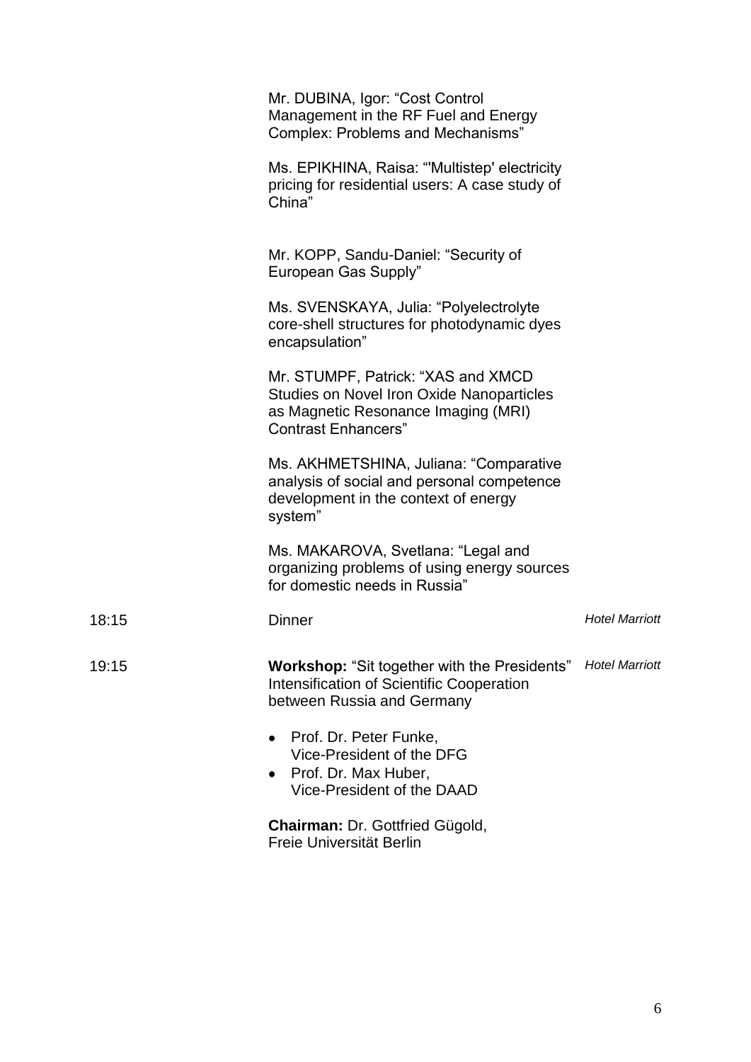|       | Mr. DUBINA, Igor: "Cost Control<br>Management in the RF Fuel and Energy<br><b>Complex: Problems and Mechanisms"</b>                                         |                       |
|-------|-------------------------------------------------------------------------------------------------------------------------------------------------------------|-----------------------|
|       | Ms. EPIKHINA, Raisa: "Multistep' electricity<br>pricing for residential users: A case study of<br>China"                                                    |                       |
|       | Mr. KOPP, Sandu-Daniel: "Security of<br>European Gas Supply"                                                                                                |                       |
|       | Ms. SVENSKAYA, Julia: "Polyelectrolyte<br>core-shell structures for photodynamic dyes<br>encapsulation"                                                     |                       |
|       | Mr. STUMPF, Patrick: "XAS and XMCD<br><b>Studies on Novel Iron Oxide Nanoparticles</b><br>as Magnetic Resonance Imaging (MRI)<br><b>Contrast Enhancers"</b> |                       |
|       | Ms. AKHMETSHINA, Juliana: "Comparative<br>analysis of social and personal competence<br>development in the context of energy<br>system"                     |                       |
|       | Ms. MAKAROVA, Svetlana: "Legal and<br>organizing problems of using energy sources<br>for domestic needs in Russia"                                          |                       |
| 18:15 | <b>Dinner</b>                                                                                                                                               | <b>Hotel Marriott</b> |
| 19:15 | <b>Workshop: "Sit together with the Presidents"</b><br>Intensification of Scientific Cooperation<br>between Russia and Germany                              | <b>Hotel Marriott</b> |
|       | Prof. Dr. Peter Funke,<br>Vice-President of the DFG<br>Prof. Dr. Max Huber,<br>Vice-President of the DAAD                                                   |                       |
|       | Chairman: Dr. Gottfried Gügold,<br>Freie Universität Berlin                                                                                                 |                       |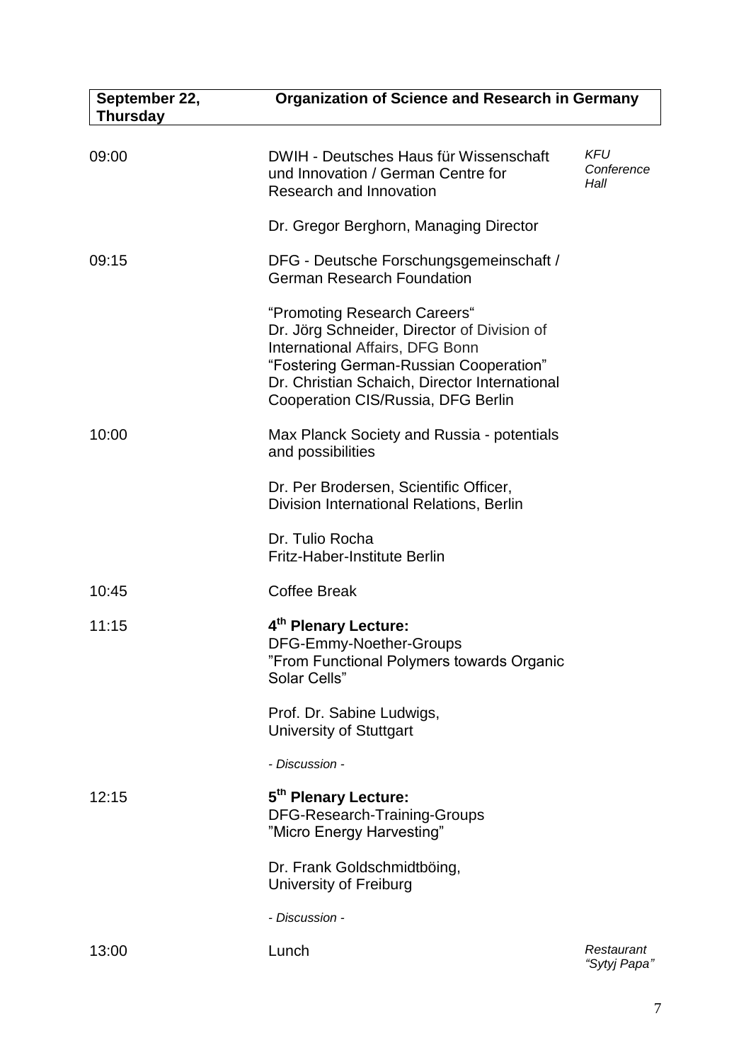| September 22,<br><b>Thursday</b> | <b>Organization of Science and Research in Germany</b>                                                                                                                                                                                          |                                  |
|----------------------------------|-------------------------------------------------------------------------------------------------------------------------------------------------------------------------------------------------------------------------------------------------|----------------------------------|
| 09:00                            | DWIH - Deutsches Haus für Wissenschaft<br>und Innovation / German Centre for<br>Research and Innovation                                                                                                                                         | <b>KFU</b><br>Conference<br>Hall |
|                                  | Dr. Gregor Berghorn, Managing Director                                                                                                                                                                                                          |                                  |
| 09:15                            | DFG - Deutsche Forschungsgemeinschaft /<br><b>German Research Foundation</b>                                                                                                                                                                    |                                  |
|                                  | "Promoting Research Careers"<br>Dr. Jörg Schneider, Director of Division of<br>International Affairs, DFG Bonn<br>"Fostering German-Russian Cooperation"<br>Dr. Christian Schaich, Director International<br>Cooperation CIS/Russia, DFG Berlin |                                  |
| 10:00                            | Max Planck Society and Russia - potentials<br>and possibilities                                                                                                                                                                                 |                                  |
|                                  | Dr. Per Brodersen, Scientific Officer,<br>Division International Relations, Berlin                                                                                                                                                              |                                  |
|                                  | Dr. Tulio Rocha<br><b>Fritz-Haber-Institute Berlin</b>                                                                                                                                                                                          |                                  |
| 10:45                            | <b>Coffee Break</b>                                                                                                                                                                                                                             |                                  |
| 11:15                            | 4th Plenary Lecture:<br>DFG-Emmy-Noether-Groups<br>"From Functional Polymers towards Organic<br>Solar Cells"                                                                                                                                    |                                  |
|                                  | Prof. Dr. Sabine Ludwigs,<br><b>University of Stuttgart</b>                                                                                                                                                                                     |                                  |
|                                  | - Discussion -                                                                                                                                                                                                                                  |                                  |
| 12:15                            | 5 <sup>th</sup> Plenary Lecture:<br>DFG-Research-Training-Groups<br>"Micro Energy Harvesting"                                                                                                                                                   |                                  |
|                                  | Dr. Frank Goldschmidtböing,<br>University of Freiburg                                                                                                                                                                                           |                                  |
|                                  | - Discussion -                                                                                                                                                                                                                                  |                                  |
| 13:00                            | Lunch                                                                                                                                                                                                                                           | Restaurant<br>"Sytyj Papa"       |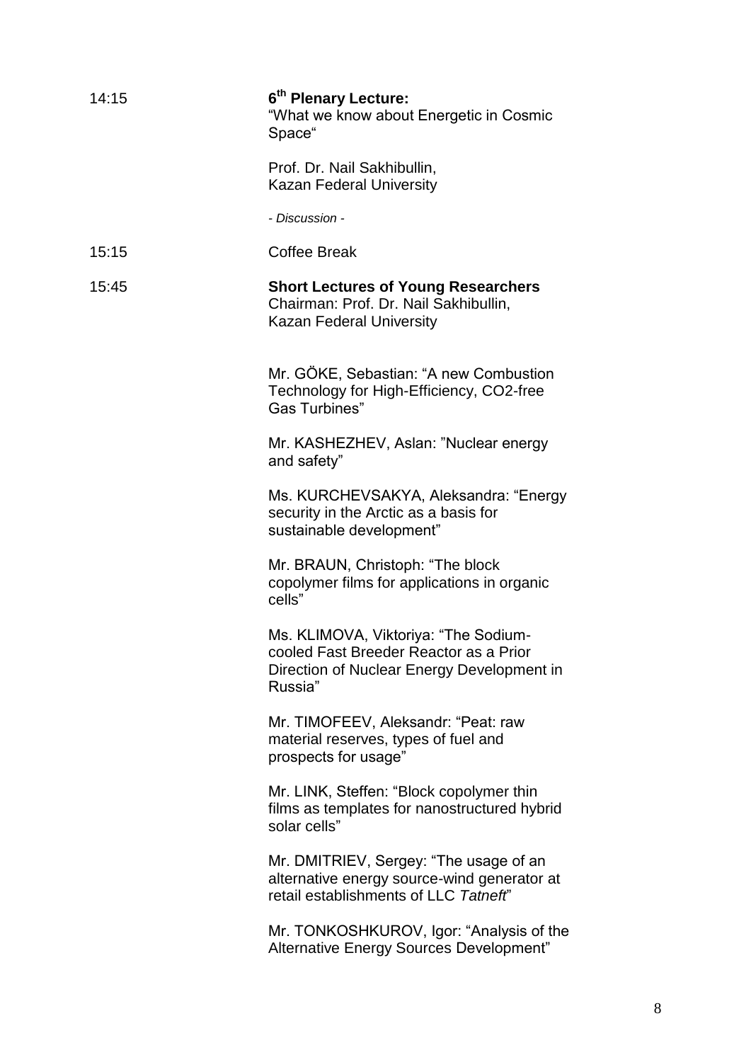| 14:15 | 6 <sup>th</sup> Plenary Lecture:<br>"What we know about Energetic in Cosmic<br>Space"                                                   |
|-------|-----------------------------------------------------------------------------------------------------------------------------------------|
|       | Prof. Dr. Nail Sakhibullin,<br><b>Kazan Federal University</b>                                                                          |
|       | - Discussion -                                                                                                                          |
| 15:15 | <b>Coffee Break</b>                                                                                                                     |
| 15:45 | <b>Short Lectures of Young Researchers</b><br>Chairman: Prof. Dr. Nail Sakhibullin,<br>Kazan Federal University                         |
|       | Mr. GÖKE, Sebastian: "A new Combustion<br>Technology for High-Efficiency, CO2-free<br>Gas Turbines"                                     |
|       | Mr. KASHEZHEV, Aslan: "Nuclear energy<br>and safety"                                                                                    |
|       | Ms. KURCHEVSAKYA, Aleksandra: "Energy<br>security in the Arctic as a basis for<br>sustainable development"                              |
|       | Mr. BRAUN, Christoph: "The block<br>copolymer films for applications in organic<br>cells"                                               |
|       | Ms. KLIMOVA, Viktoriya: "The Sodium-<br>cooled Fast Breeder Reactor as a Prior<br>Direction of Nuclear Energy Development in<br>Russia" |
|       | Mr. TIMOFEEV, Aleksandr: "Peat: raw<br>material reserves, types of fuel and<br>prospects for usage"                                     |
|       | Mr. LINK, Steffen: "Block copolymer thin<br>films as templates for nanostructured hybrid<br>solar cells"                                |
|       | Mr. DMITRIEV, Sergey: "The usage of an<br>alternative energy source-wind generator at<br>retail establishments of LLC Tatneft"          |
|       | Mr. TONKOSHKUROV, Igor: "Analysis of the<br>Alternative Energy Sources Development"                                                     |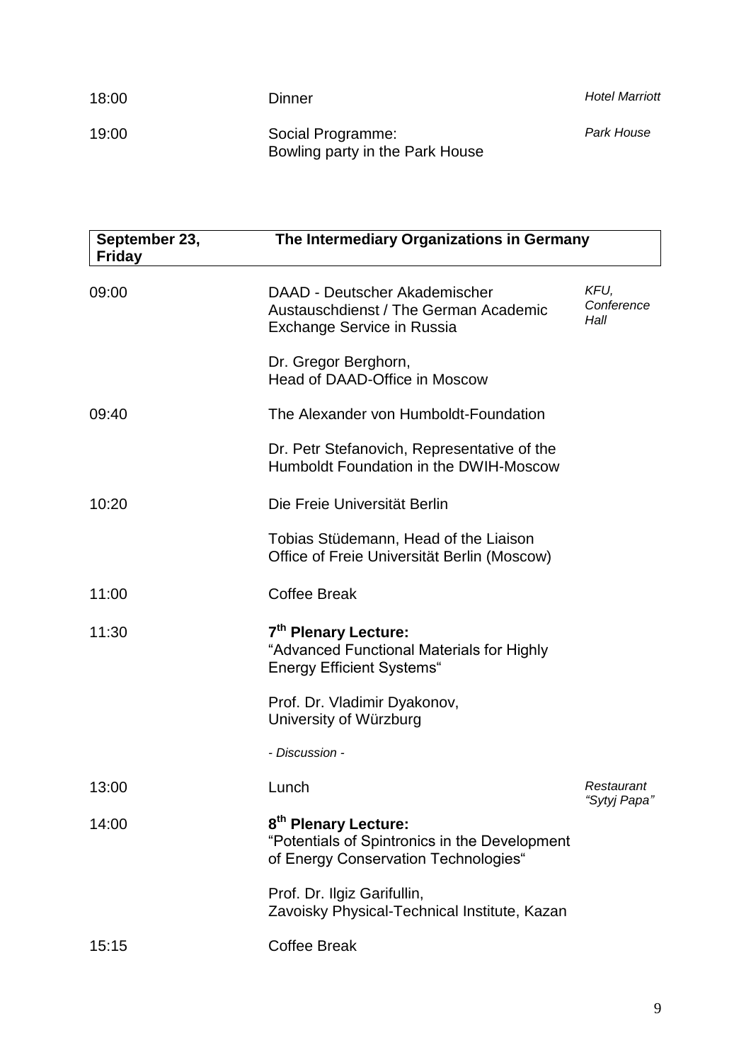| 18:00 | Dinner                                               | <b>Hotel Marriott</b> |
|-------|------------------------------------------------------|-----------------------|
| 19:00 | Social Programme:<br>Bowling party in the Park House | Park House            |

| September 23,<br><b>Friday</b> | The Intermediary Organizations in Germany                                                                                 |                            |
|--------------------------------|---------------------------------------------------------------------------------------------------------------------------|----------------------------|
| 09:00                          | DAAD - Deutscher Akademischer<br>Austauschdienst / The German Academic<br><b>Exchange Service in Russia</b>               | KFU,<br>Conference<br>Hall |
|                                | Dr. Gregor Berghorn,<br>Head of DAAD-Office in Moscow                                                                     |                            |
| 09:40                          | The Alexander von Humboldt-Foundation                                                                                     |                            |
|                                | Dr. Petr Stefanovich, Representative of the<br>Humboldt Foundation in the DWIH-Moscow                                     |                            |
| 10:20                          | Die Freie Universität Berlin                                                                                              |                            |
|                                | Tobias Stüdemann, Head of the Liaison<br>Office of Freie Universität Berlin (Moscow)                                      |                            |
| 11:00                          | <b>Coffee Break</b>                                                                                                       |                            |
| 11:30                          | 7 <sup>th</sup> Plenary Lecture:<br>"Advanced Functional Materials for Highly<br><b>Energy Efficient Systems</b> "        |                            |
|                                | Prof. Dr. Vladimir Dyakonov,<br>University of Würzburg                                                                    |                            |
|                                | - Discussion -                                                                                                            |                            |
| 13:00                          | Lunch                                                                                                                     | Restaurant<br>"Sytyj Papa" |
| 14:00                          | 8 <sup>th</sup> Plenary Lecture:<br>"Potentials of Spintronics in the Development<br>of Energy Conservation Technologies" |                            |
|                                | Prof. Dr. Ilgiz Garifullin,<br>Zavoisky Physical-Technical Institute, Kazan                                               |                            |
| 15:15                          | <b>Coffee Break</b>                                                                                                       |                            |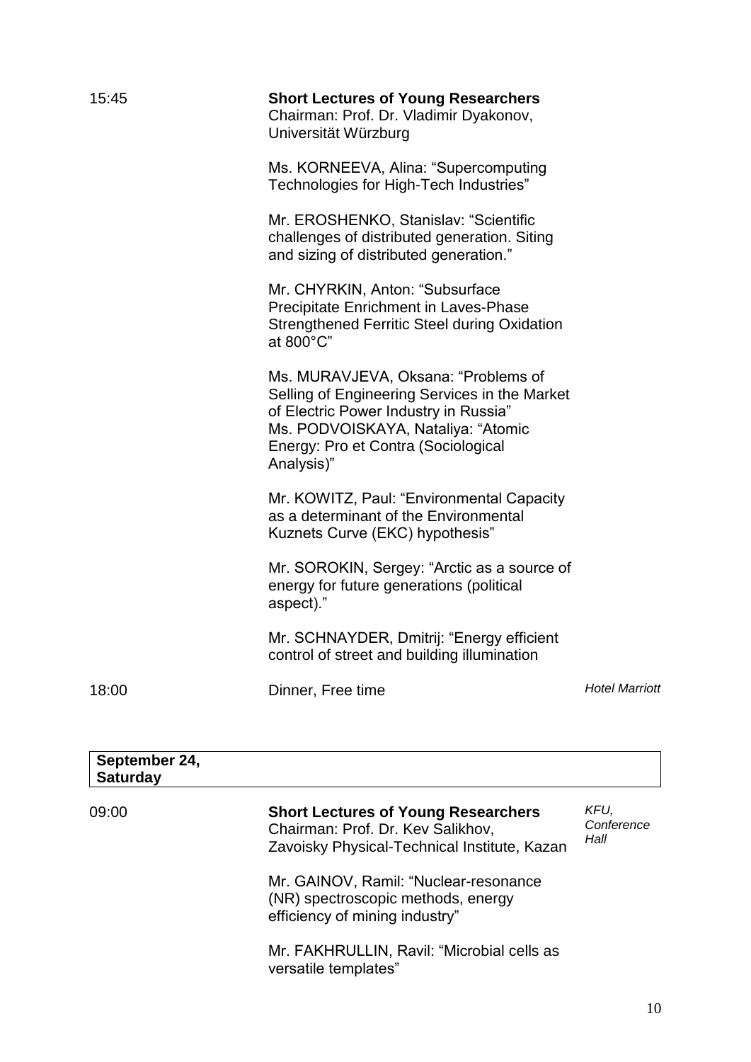| 15:45                            | <b>Short Lectures of Young Researchers</b><br>Chairman: Prof. Dr. Vladimir Dyakonov,<br>Universität Würzburg                                                                                                                                                                                                                                                                                                                                                                                                                                           |                            |
|----------------------------------|--------------------------------------------------------------------------------------------------------------------------------------------------------------------------------------------------------------------------------------------------------------------------------------------------------------------------------------------------------------------------------------------------------------------------------------------------------------------------------------------------------------------------------------------------------|----------------------------|
|                                  | Ms. KORNEEVA, Alina: "Supercomputing<br>Technologies for High-Tech Industries"                                                                                                                                                                                                                                                                                                                                                                                                                                                                         |                            |
|                                  | Mr. EROSHENKO, Stanislav: "Scientific<br>challenges of distributed generation. Siting<br>and sizing of distributed generation."                                                                                                                                                                                                                                                                                                                                                                                                                        |                            |
|                                  | Mr. CHYRKIN, Anton: "Subsurface<br>Precipitate Enrichment in Laves-Phase<br><b>Strengthened Ferritic Steel during Oxidation</b><br>at 800°C"                                                                                                                                                                                                                                                                                                                                                                                                           |                            |
|                                  | Ms. MURAVJEVA, Oksana: "Problems of<br>Selling of Engineering Services in the Market<br>of Electric Power Industry in Russia"<br>Ms. PODVOISKAYA, Nataliya: "Atomic<br>Energy: Pro et Contra (Sociological<br>Analysis)"<br>Mr. KOWITZ, Paul: "Environmental Capacity"<br>as a determinant of the Environmental<br>Kuznets Curve (EKC) hypothesis"<br>Mr. SOROKIN, Sergey: "Arctic as a source of<br>energy for future generations (political<br>aspect)."<br>Mr. SCHNAYDER, Dmitrij: "Energy efficient<br>control of street and building illumination |                            |
|                                  |                                                                                                                                                                                                                                                                                                                                                                                                                                                                                                                                                        |                            |
|                                  |                                                                                                                                                                                                                                                                                                                                                                                                                                                                                                                                                        |                            |
|                                  |                                                                                                                                                                                                                                                                                                                                                                                                                                                                                                                                                        |                            |
| 18:00                            | Dinner, Free time                                                                                                                                                                                                                                                                                                                                                                                                                                                                                                                                      | <b>Hotel Marriott</b>      |
| September 24,<br><b>Saturday</b> |                                                                                                                                                                                                                                                                                                                                                                                                                                                                                                                                                        |                            |
| 09:00                            | <b>Short Lectures of Young Researchers</b><br>Chairman: Prof. Dr. Kev Salikhov,<br>Zavoisky Physical-Technical Institute, Kazan                                                                                                                                                                                                                                                                                                                                                                                                                        | KFU,<br>Conference<br>Hall |
|                                  | Mr. GAINOV, Ramil: "Nuclear-resonance<br>(NR) spectroscopic methods, energy<br>efficiency of mining industry"                                                                                                                                                                                                                                                                                                                                                                                                                                          |                            |

Mr. FAKHRULLIN, Ravil: "Microbial cells as versatile templates"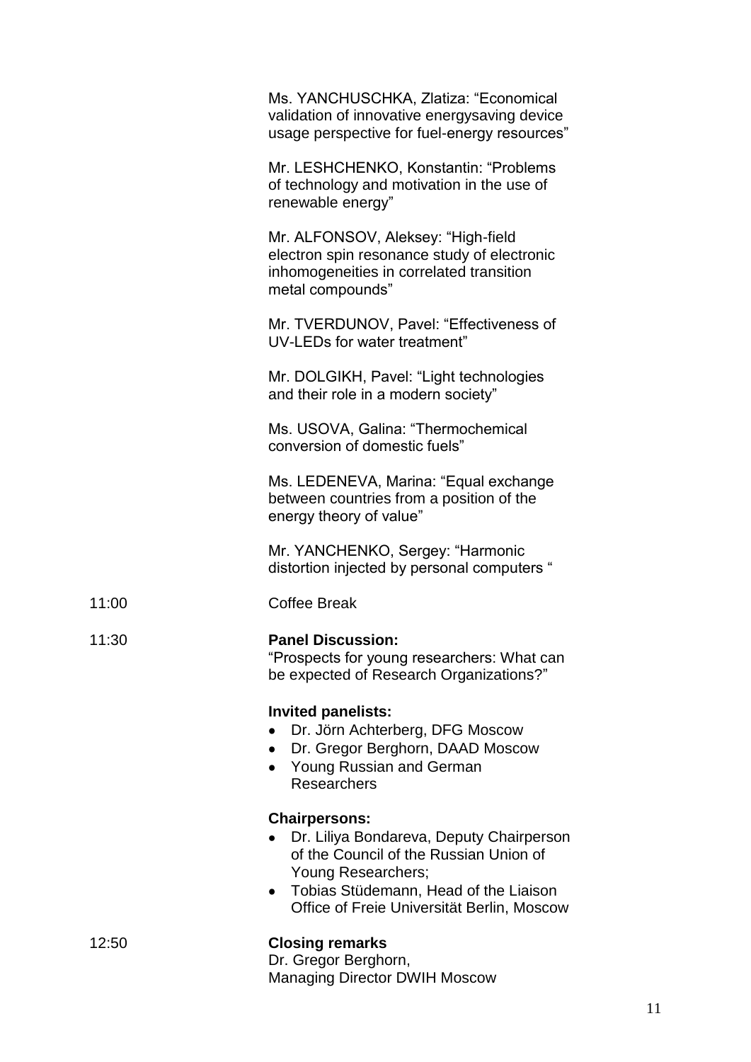|       | Ms. YANCHUSCHKA, Zlatiza: "Economical<br>validation of innovative energysaving device<br>usage perspective for fuel-energy resources"                                                                                                |
|-------|--------------------------------------------------------------------------------------------------------------------------------------------------------------------------------------------------------------------------------------|
|       | Mr. LESHCHENKO, Konstantin: "Problems<br>of technology and motivation in the use of<br>renewable energy"                                                                                                                             |
|       | Mr. ALFONSOV, Aleksey: "High-field<br>electron spin resonance study of electronic<br>inhomogeneities in correlated transition<br>metal compounds"                                                                                    |
|       | Mr. TVERDUNOV, Pavel: "Effectiveness of<br>UV-LEDs for water treatment"                                                                                                                                                              |
|       | Mr. DOLGIKH, Pavel: "Light technologies<br>and their role in a modern society"                                                                                                                                                       |
|       | Ms. USOVA, Galina: "Thermochemical<br>conversion of domestic fuels"                                                                                                                                                                  |
|       | Ms. LEDENEVA, Marina: "Equal exchange<br>between countries from a position of the<br>energy theory of value"                                                                                                                         |
|       | Mr. YANCHENKO, Sergey: "Harmonic<br>distortion injected by personal computers "                                                                                                                                                      |
| 11:00 | <b>Coffee Break</b>                                                                                                                                                                                                                  |
| 11:30 | <b>Panel Discussion:</b><br>"Prospects for young researchers: What can<br>be expected of Research Organizations?"                                                                                                                    |
|       | <b>Invited panelists:</b><br>Dr. Jörn Achterberg, DFG Moscow<br>Dr. Gregor Berghorn, DAAD Moscow<br>$\bullet$<br>Young Russian and German<br><b>Researchers</b>                                                                      |
|       | <b>Chairpersons:</b><br>Dr. Liliya Bondareva, Deputy Chairperson<br>of the Council of the Russian Union of<br>Young Researchers;<br>Tobias Stüdemann, Head of the Liaison<br>$\bullet$<br>Office of Freie Universität Berlin, Moscow |
| 12:50 | <b>Closing remarks</b><br>Dr. Gregor Berghorn,<br><b>Managing Director DWIH Moscow</b>                                                                                                                                               |